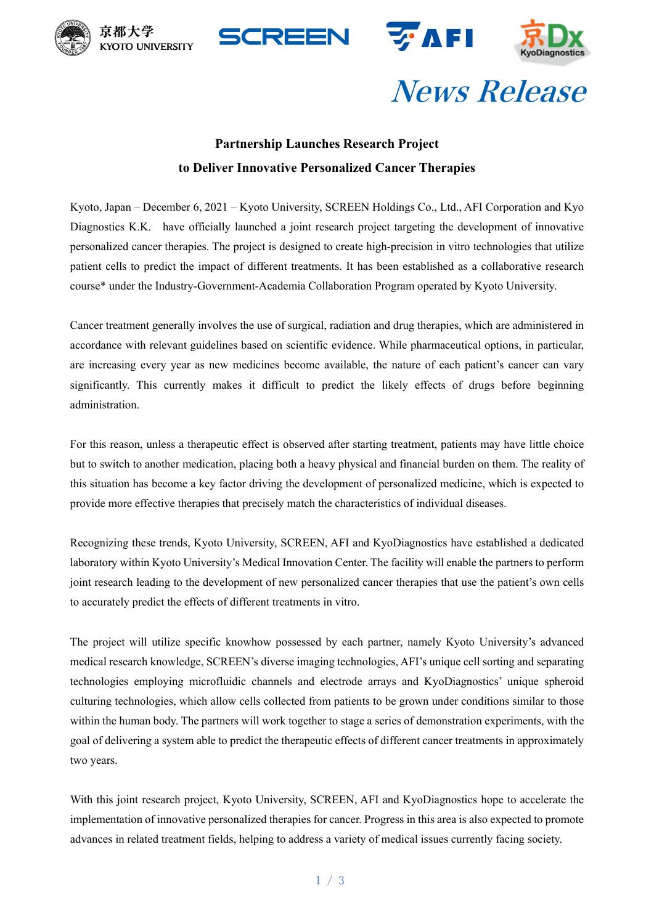







# News Release

### **Partnership Launches Research Project to Deliver Innovative Personalized Cancer Therapies**

Kyoto, Japan – December 6, 2021 – Kyoto University, SCREEN Holdings Co., Ltd., AFI Corporation and Kyo Diagnostics K.K. have officially launched a joint research project targeting the development of innovative personalized cancer therapies. The project is designed to create high-precision in vitro technologies that utilize patient cells to predict the impact of different treatments. It has been established as a collaborative research course\* under the Industry-Government-Academia Collaboration Program operated by Kyoto University.

Cancer treatment generally involves the use of surgical, radiation and drug therapies, which are administered in accordance with relevant guidelines based on scientific evidence. While pharmaceutical options, in particular, are increasing every year as new medicines become available, the nature of each patient's cancer can vary significantly. This currently makes it difficult to predict the likely effects of drugs before beginning administration.

For this reason, unless a therapeutic effect is observed after starting treatment, patients may have little choice but to switch to another medication, placing both a heavy physical and financial burden on them. The reality of this situation has become a key factor driving the development of personalized medicine, which is expected to provide more effective therapies that precisely match the characteristics of individual diseases.

Recognizing these trends, Kyoto University, SCREEN, AFI and KyoDiagnostics have established a dedicated laboratory within Kyoto University's Medical Innovation Center. The facility will enable the partners to perform joint research leading to the development of new personalized cancer therapies that use the patient's own cells to accurately predict the effects of different treatments in vitro.

The project will utilize specific knowhow possessed by each partner, namely Kyoto University's advanced medical research knowledge, SCREEN's diverse imaging technologies, AFI's unique cell sorting and separating technologies employing microfluidic channels and electrode arrays and KyoDiagnostics' unique spheroid culturing technologies, which allow cells collected from patients to be grown under conditions similar to those within the human body. The partners will work together to stage a series of demonstration experiments, with the goal of delivering a system able to predict the therapeutic effects of different cancer treatments in approximately two years.

With this joint research project, Kyoto University, SCREEN, AFI and KyoDiagnostics hope to accelerate the implementation of innovative personalized therapies for cancer. Progress in this area is also expected to promote advances in related treatment fields, helping to address a variety of medical issues currently facing society.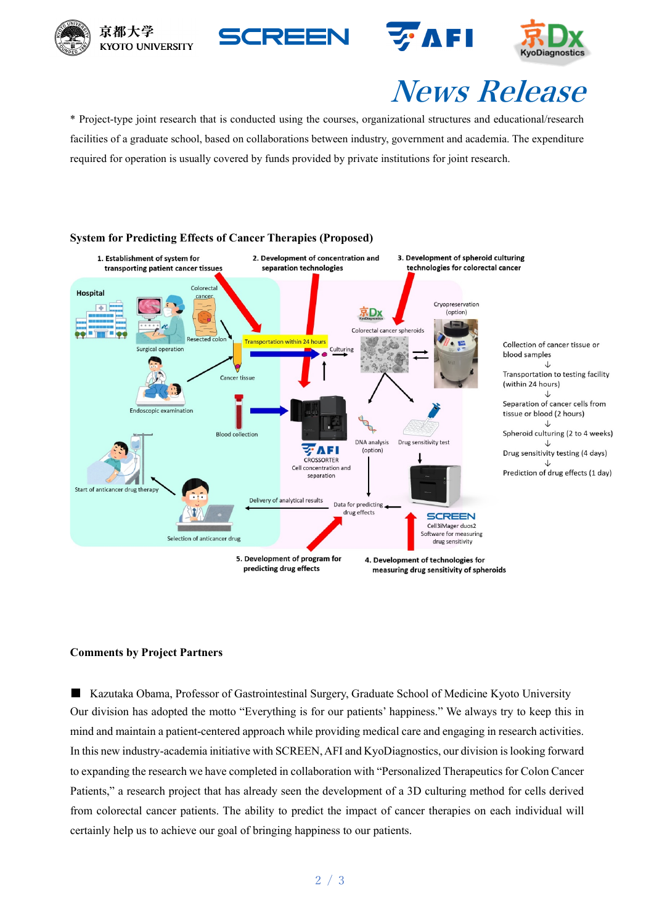







# News Release

\* Project-type joint research that is conducted using the courses, organizational structures and educational/research facilities of a graduate school, based on collaborations between industry, government and academia. The expenditure required for operation is usually covered by funds provided by private institutions for joint research.



#### **System for Predicting Effects of Cancer Therapies (Proposed)**

### **Comments by Project Partners**

■ Kazutaka Obama, Professor of Gastrointestinal Surgery, Graduate School of Medicine Kyoto University Our division has adopted the motto "Everything is for our patients' happiness." We always try to keep this in mind and maintain a patient-centered approach while providing medical care and engaging in research activities. In this new industry-academia initiative with SCREEN, AFI and KyoDiagnostics, our division is looking forward to expanding the research we have completed in collaboration with "Personalized Therapeutics for Colon Cancer Patients," a research project that has already seen the development of a 3D culturing method for cells derived from colorectal cancer patients. The ability to predict the impact of cancer therapies on each individual will certainly help us to achieve our goal of bringing happiness to our patients.